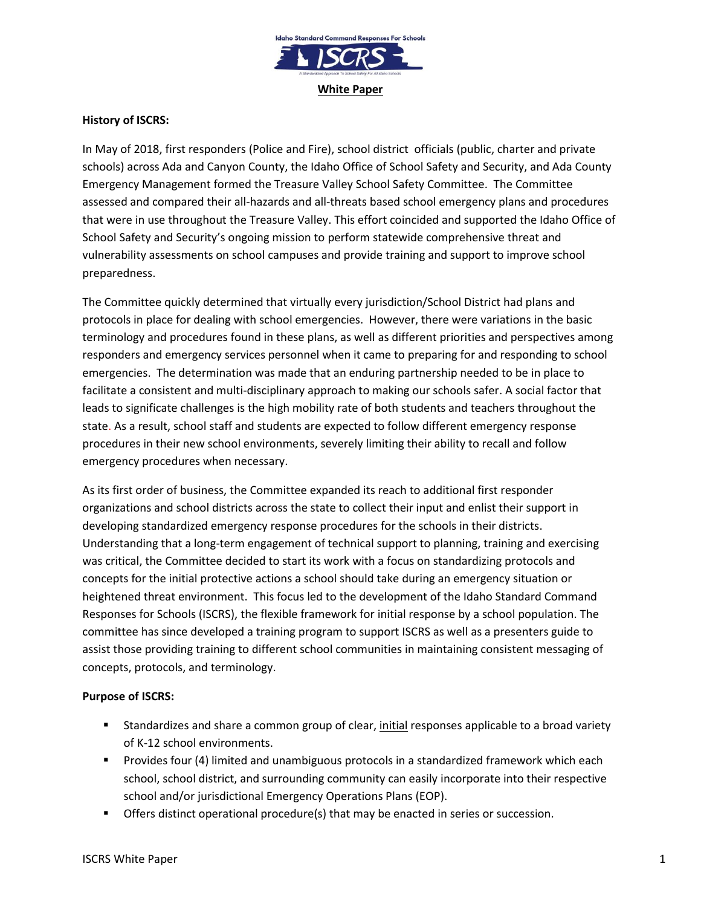

### **History of ISCRS:**

In May of 2018, first responders (Police and Fire), school district officials (public, charter and private schools) across Ada and Canyon County, the Idaho Office of School Safety and Security, and Ada County Emergency Management formed the Treasure Valley School Safety Committee. The Committee assessed and compared their all-hazards and all-threats based school emergency plans and procedures that were in use throughout the Treasure Valley. This effort coincided and supported the Idaho Office of School Safety and Security's ongoing mission to perform statewide comprehensive threat and vulnerability assessments on school campuses and provide training and support to improve school preparedness.

The Committee quickly determined that virtually every jurisdiction/School District had plans and protocols in place for dealing with school emergencies. However, there were variations in the basic terminology and procedures found in these plans, as well as different priorities and perspectives among responders and emergency services personnel when it came to preparing for and responding to school emergencies. The determination was made that an enduring partnership needed to be in place to facilitate a consistent and multi-disciplinary approach to making our schools safer. A social factor that leads to significate challenges is the high mobility rate of both students and teachers throughout the state. As a result, school staff and students are expected to follow different emergency response procedures in their new school environments, severely limiting their ability to recall and follow emergency procedures when necessary.

As its first order of business, the Committee expanded its reach to additional first responder organizations and school districts across the state to collect their input and enlist their support in developing standardized emergency response procedures for the schools in their districts. Understanding that a long-term engagement of technical support to planning, training and exercising was critical, the Committee decided to start its work with a focus on standardizing protocols and concepts for the initial protective actions a school should take during an emergency situation or heightened threat environment. This focus led to the development of the Idaho Standard Command Responses for Schools (ISCRS), the flexible framework for initial response by a school population. The committee has since developed a training program to support ISCRS as well as a presenters guide to assist those providing training to different school communities in maintaining consistent messaging of concepts, protocols, and terminology.

## **Purpose of ISCRS:**

- Standardizes and share a common group of clear, initial responses applicable to a broad variety of K-12 school environments.
- **Provides four (4) limited and unambiguous protocols in a standardized framework which each** school, school district, and surrounding community can easily incorporate into their respective school and/or jurisdictional Emergency Operations Plans (EOP).
- **The Step 3** Offers distinct operational procedure(s) that may be enacted in series or succession.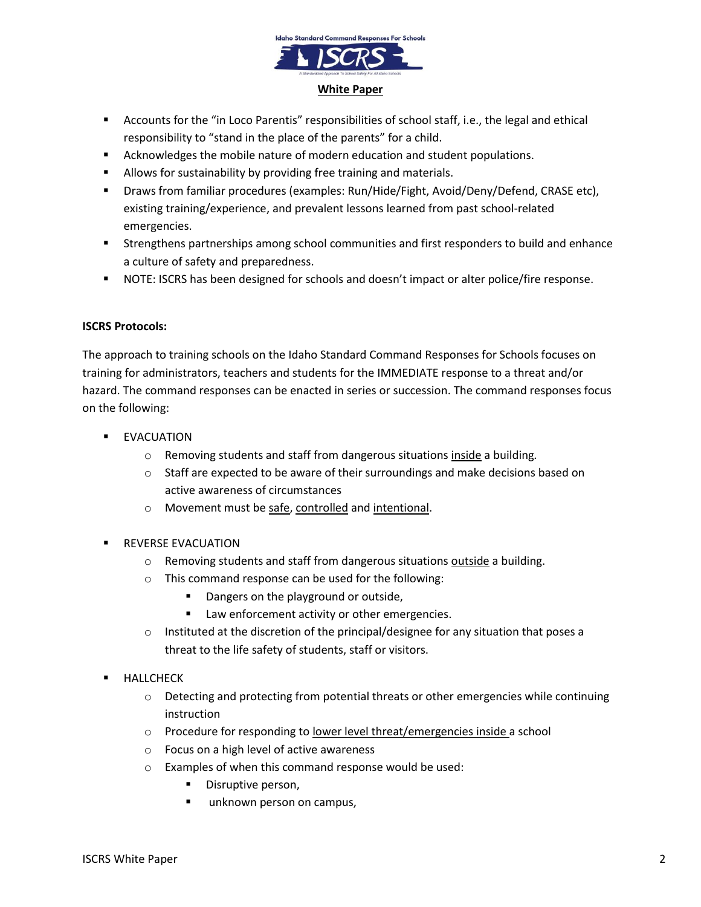

- Accounts for the "in Loco Parentis" responsibilities of school staff, i.e., the legal and ethical responsibility to "stand in the place of the parents" for a child.
- **EXEC** Acknowledges the mobile nature of modern education and student populations.
- **Allows for sustainability by providing free training and materials.**
- Draws from familiar procedures (examples: Run/Hide/Fight, Avoid/Deny/Defend, CRASE etc), existing training/experience, and prevalent lessons learned from past school-related emergencies.
- Strengthens partnerships among school communities and first responders to build and enhance a culture of safety and preparedness.
- NOTE: ISCRS has been designed for schools and doesn't impact or alter police/fire response.

### **ISCRS Protocols:**

The approach to training schools on the Idaho Standard Command Responses for Schools focuses on training for administrators, teachers and students for the IMMEDIATE response to a threat and/or hazard. The command responses can be enacted in series or succession. The command responses focus on the following:

- **EVACUATION** 
	- o Removing students and staff from dangerous situations inside a building*.*
	- $\circ$  Staff are expected to be aware of their surroundings and make decisions based on active awareness of circumstances
	- o Movement must be safe, controlled and intentional.
- REVERSE EVACUATION
	- $\circ$  Removing students and staff from dangerous situations outside a building.
	- o This command response can be used for the following:
		- Dangers on the playground or outside,
		- **EXECUTE:** Law enforcement activity or other emergencies.
	- $\circ$  Instituted at the discretion of the principal/designee for any situation that poses a threat to the life safety of students, staff or visitors.
- HALLCHECK
	- $\circ$  Detecting and protecting from potential threats or other emergencies while continuing instruction
	- $\circ$  Procedure for responding to lower level threat/emergencies inside a school
	- o Focus on a high level of active awareness
	- o Examples of when this command response would be used:
		- Disruptive person,
		- unknown person on campus,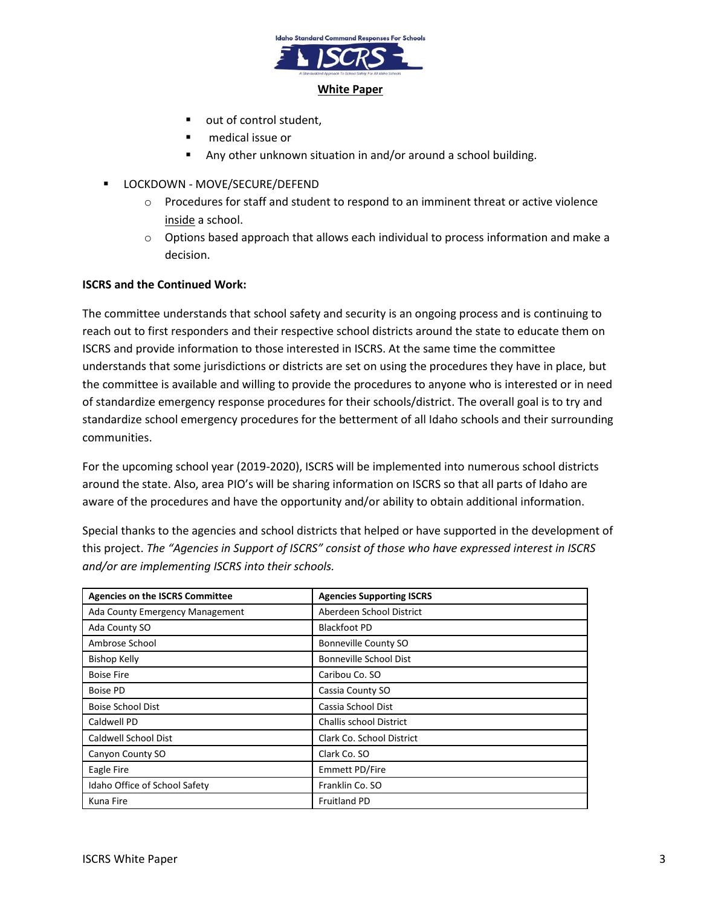

- out of control student,
- medical issue or
- Any other unknown situation in and/or around a school building.
- LOCKDOWN MOVE/SECURE/DEFEND
	- $\circ$  Procedures for staff and student to respond to an imminent threat or active violence inside a school.
	- $\circ$  Options based approach that allows each individual to process information and make a decision.

### **ISCRS and the Continued Work:**

The committee understands that school safety and security is an ongoing process and is continuing to reach out to first responders and their respective school districts around the state to educate them on ISCRS and provide information to those interested in ISCRS. At the same time the committee understands that some jurisdictions or districts are set on using the procedures they have in place, but the committee is available and willing to provide the procedures to anyone who is interested or in need of standardize emergency response procedures for their schools/district. The overall goal is to try and standardize school emergency procedures for the betterment of all Idaho schools and their surrounding communities.

For the upcoming school year (2019-2020), ISCRS will be implemented into numerous school districts around the state. Also, area PIO's will be sharing information on ISCRS so that all parts of Idaho are aware of the procedures and have the opportunity and/or ability to obtain additional information.

Special thanks to the agencies and school districts that helped or have supported in the development of this project. *The "Agencies in Support of ISCRS" consist of those who have expressed interest in ISCRS and/or are implementing ISCRS into their schools.*

| <b>Agencies on the ISCRS Committee</b> | <b>Agencies Supporting ISCRS</b> |
|----------------------------------------|----------------------------------|
| Ada County Emergency Management        | Aberdeen School District         |
| Ada County SO                          | <b>Blackfoot PD</b>              |
| Ambrose School                         | Bonneville County SO             |
| <b>Bishop Kelly</b>                    | <b>Bonneville School Dist</b>    |
| <b>Boise Fire</b>                      | Caribou Co. SO                   |
| <b>Boise PD</b>                        | Cassia County SO                 |
| <b>Boise School Dist</b>               | Cassia School Dist               |
| Caldwell PD                            | <b>Challis school District</b>   |
| Caldwell School Dist                   | Clark Co. School District        |
| Canyon County SO                       | Clark Co. SO                     |
| Eagle Fire                             | Emmett PD/Fire                   |
| Idaho Office of School Safety          | Franklin Co. SO                  |
| Kuna Fire                              | <b>Fruitland PD</b>              |